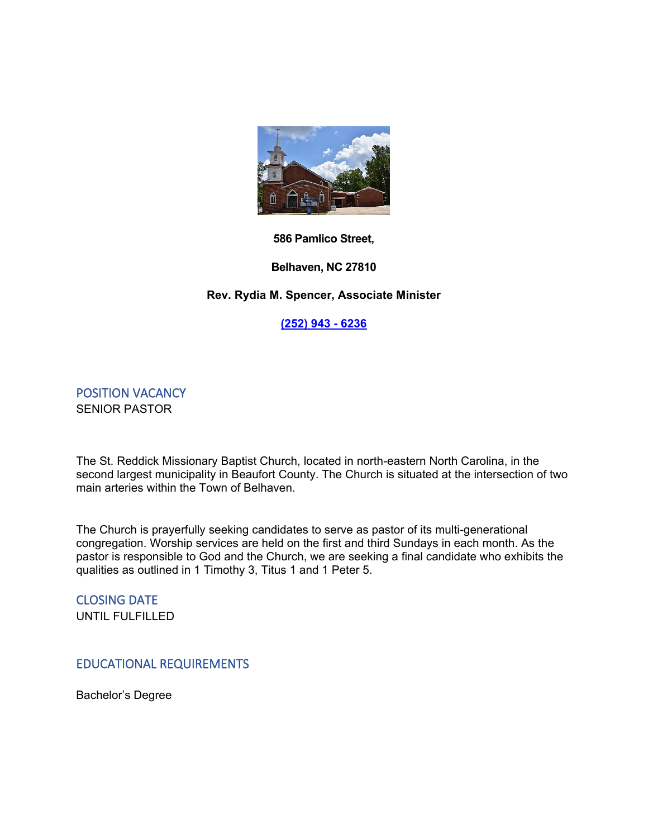

**586 Pamlico Street,**

### **Belhaven, NC 27810**

### **Rev. Rydia M. Spencer, Associate Minister**

**[\(252\) 943 - 6236](tel:2529436236)**

POSITION VACANCY SENIOR PASTOR

The St. Reddick Missionary Baptist Church, located in north-eastern North Carolina, in the second largest municipality in Beaufort County. The Church is situated at the intersection of two main arteries within the Town of Belhaven.

The Church is prayerfully seeking candidates to serve as pastor of its multi-generational congregation. Worship services are held on the first and third Sundays in each month. As the pastor is responsible to God and the Church, we are seeking a final candidate who exhibits the qualities as outlined in 1 Timothy 3, Titus 1 and 1 Peter 5.

CLOSING DATE UNTIL FULFILLED

EDUCATIONAL REQUIREMENTS

Bachelor's Degree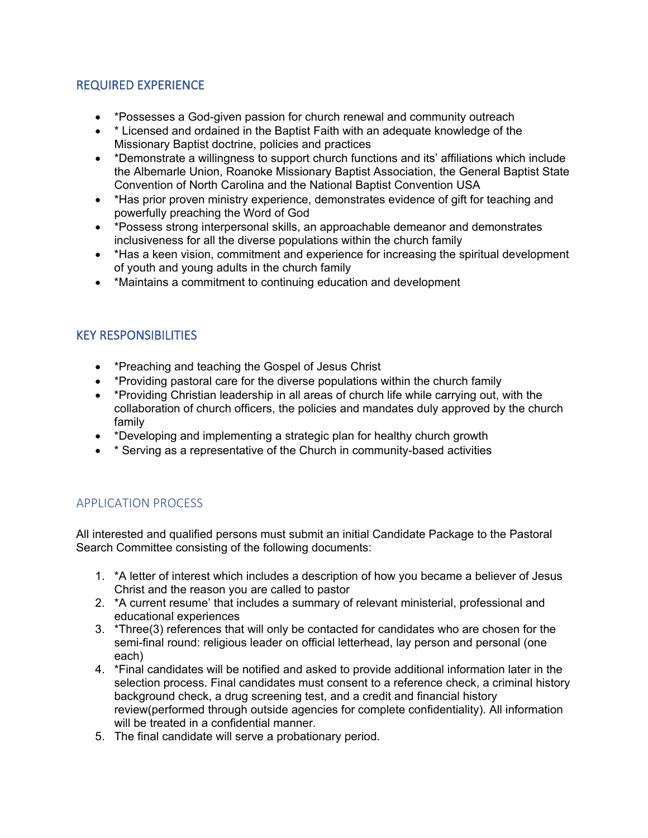## REQUIRED EXPERIENCE

- \*Possesses a God-given passion for church renewal and community outreach
- \* Licensed and ordained in the Baptist Faith with an adequate knowledge of the Missionary Baptist doctrine, policies and practices
- \*Demonstrate a willingness to support church functions and its' affiliations which include the Albemarle Union, Roanoke Missionary Baptist Association, the General Baptist State Convention of North Carolina and the National Baptist Convention USA
- \*Has prior proven ministry experience, demonstrates evidence of gift for teaching and powerfully preaching the Word of God
- \*Possess strong interpersonal skills, an approachable demeanor and demonstrates inclusiveness for all the diverse populations within the church family
- \*Has a keen vision, commitment and experience for increasing the spiritual development of youth and young adults in the church family
- \*Maintains a commitment to continuing education and development

## KEY RESPONSIBILITIES

- \*Preaching and teaching the Gospel of Jesus Christ
- \*Providing pastoral care for the diverse populations within the church family
- \*Providing Christian leadership in all areas of church life while carrying out, with the collaboration of church officers, the policies and mandates duly approved by the church family
- \*Developing and implementing a strategic plan for healthy church growth
- \* Serving as a representative of the Church in community-based activities

# APPLICATION PROCESS

All interested and qualified persons must submit an initial Candidate Package to the Pastoral Search Committee consisting of the following documents:

- 1. \*A letter of interest which includes a description of how you became a believer of Jesus Christ and the reason you are called to pastor
- 2. \*A current resume' that includes a summary of relevant ministerial, professional and educational experiences
- 3. \*Three(3) references that will only be contacted for candidates who are chosen for the semi-final round: religious leader on official letterhead, lay person and personal (one each)
- 4. \*Final candidates will be notified and asked to provide additional information later in the selection process. Final candidates must consent to a reference check, a criminal history background check, a drug screening test, and a credit and financial history review(performed through outside agencies for complete confidentiality). All information will be treated in a confidential manner.
- 5. The final candidate will serve a probationary period.